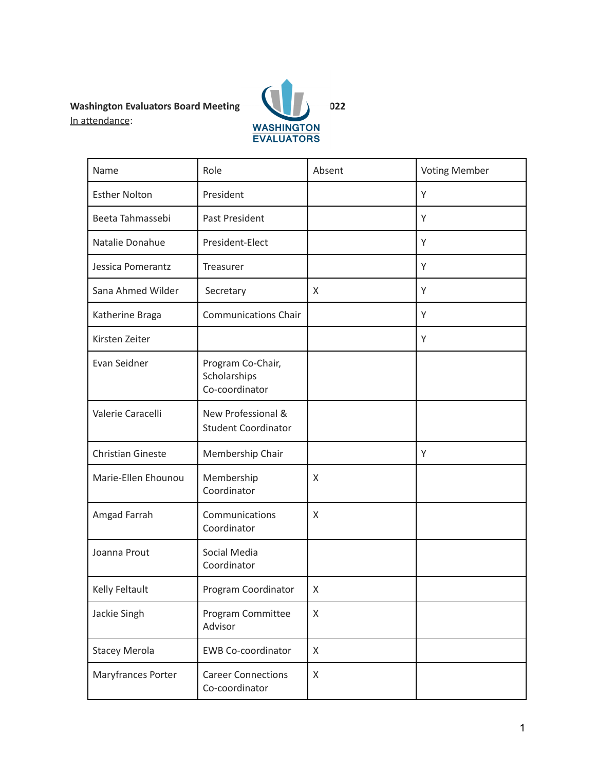# In attendance:



| Name                     | Role                                                | Absent | <b>Voting Member</b> |
|--------------------------|-----------------------------------------------------|--------|----------------------|
| <b>Esther Nolton</b>     | President                                           |        | Y                    |
| Beeta Tahmassebi         | Past President                                      |        | Y                    |
| Natalie Donahue          | President-Elect                                     |        | Υ                    |
| Jessica Pomerantz        | Treasurer                                           |        | Y                    |
| Sana Ahmed Wilder        | Secretary                                           | X      | Y                    |
| Katherine Braga          | <b>Communications Chair</b>                         |        | Y                    |
| Kirsten Zeiter           |                                                     |        | Y                    |
| Evan Seidner             | Program Co-Chair,<br>Scholarships<br>Co-coordinator |        |                      |
| Valerie Caracelli        | New Professional &<br><b>Student Coordinator</b>    |        |                      |
| <b>Christian Gineste</b> | Membership Chair                                    |        | Y                    |
| Marie-Ellen Ehounou      | Membership<br>Coordinator                           | X      |                      |
| Amgad Farrah             | Communications<br>Coordinator                       | X      |                      |
| Joanna Prout             | Social Media<br>Coordinator                         |        |                      |
| Kelly Feltault           | Program Coordinator                                 | X      |                      |
| Jackie Singh             | Program Committee<br>Advisor                        | X      |                      |
| <b>Stacey Merola</b>     | <b>EWB Co-coordinator</b>                           | X      |                      |
| Maryfrances Porter       | <b>Career Connections</b><br>Co-coordinator         | X      |                      |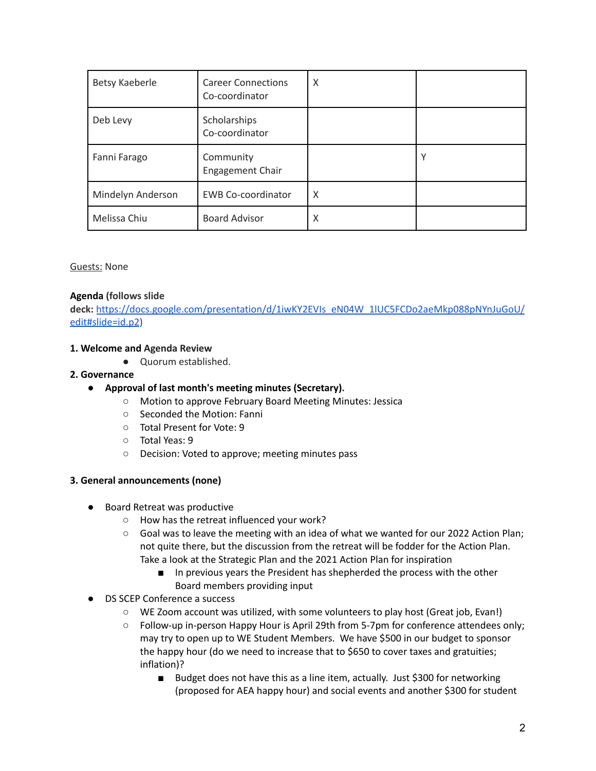| Betsy Kaeberle    | <b>Career Connections</b><br>Co-coordinator | X |   |
|-------------------|---------------------------------------------|---|---|
| Deb Levy          | Scholarships<br>Co-coordinator              |   |   |
| Fanni Farago      | Community<br><b>Engagement Chair</b>        |   | v |
| Mindelyn Anderson | <b>EWB Co-coordinator</b>                   | X |   |
| Melissa Chiu      | <b>Board Advisor</b>                        | X |   |

#### Guests: None

## **Agenda (follows slide**

**deck:** [https://docs.google.com/presentation/d/1iwKY2EVIs\\_eN04W\\_1lUC5FCDo2aeMkp088pNYnJuGoU/](https://docs.google.com/presentation/d/1iwKY2EVIs_eN04W_1lUC5FCDo2aeMkp088pNYnJuGoU/edit#slide=id.p2) [edit#slide=id.p2](https://docs.google.com/presentation/d/1iwKY2EVIs_eN04W_1lUC5FCDo2aeMkp088pNYnJuGoU/edit#slide=id.p2))

### **1. Welcome and Agenda Review**

● Quorum established.

#### **2. Governance**

- **Approval of last month's meeting minutes (Secretary).**
	- Motion to approve February Board Meeting Minutes: Jessica
	- Seconded the Motion: Fanni
	- Total Present for Vote: 9
	- Total Yeas: 9
	- Decision: Voted to approve; meeting minutes pass

#### **3. General announcements (none)**

- Board Retreat was productive
	- How has the retreat influenced your work?
	- Goal was to leave the meeting with an idea of what we wanted for our 2022 Action Plan; not quite there, but the discussion from the retreat will be fodder for the Action Plan. Take a look at the Strategic Plan and the 2021 Action Plan for inspiration
		- In previous years the President has shepherded the process with the other Board members providing input
- **DS SCEP Conference a success** 
	- WE Zoom account was utilized, with some volunteers to play host (Great job, Evan!)
	- Follow-up in-person Happy Hour is April 29th from 5-7pm for conference attendees only; may try to open up to WE Student Members. We have \$500 in our budget to sponsor the happy hour (do we need to increase that to \$650 to cover taxes and gratuities; inflation)?
		- Budget does not have this as a line item, actually. Just \$300 for networking (proposed for AEA happy hour) and social events and another \$300 for student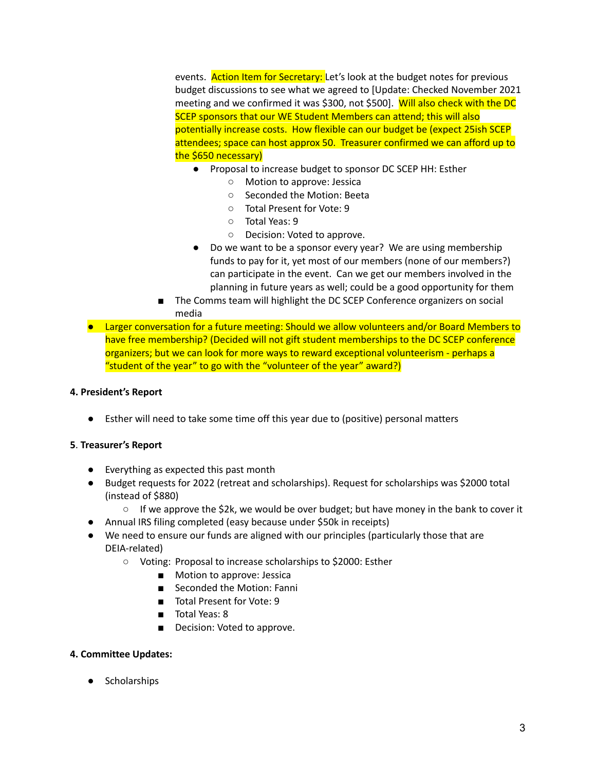events. Action Item for Secretary: Let's look at the budget notes for previous budget discussions to see what we agreed to [Update: Checked November 2021 meeting and we confirmed it was \$300, not \$500]. Will also check with the DC SCEP sponsors that our WE Student Members can attend; this will also potentially increase costs. How flexible can our budget be (expect 25ish SCEP attendees; space can host approx 50. Treasurer confirmed we can afford up to the \$650 necessary)

- Proposal to increase budget to sponsor DC SCEP HH: Esther
	- Motion to approve: Jessica
	- Seconded the Motion: Beeta
	- Total Present for Vote: 9
	- Total Yeas: 9
	- Decision: Voted to approve.
- Do we want to be a sponsor every year? We are using membership funds to pay for it, yet most of our members (none of our members?) can participate in the event. Can we get our members involved in the planning in future years as well; could be a good opportunity for them
- The Comms team will highlight the DC SCEP Conference organizers on social media
- Larger conversation for a future meeting: Should we allow volunteers and/or Board Members to have free membership? (Decided will not gift student memberships to the DC SCEP conference organizers; but we can look for more ways to reward exceptional volunteerism - perhaps a "student of the year" to go with the "volunteer of the year" award?)

#### **4. President's Report**

● Esther will need to take some time off this year due to (positive) personal matters

#### **5**. **Treasurer's Report**

- Everything as expected this past month
- Budget requests for 2022 (retreat and scholarships). Request for scholarships was \$2000 total (instead of \$880)
	- $\circ$  If we approve the \$2k, we would be over budget; but have money in the bank to cover it
- Annual IRS filing completed (easy because under \$50k in receipts)
- We need to ensure our funds are aligned with our principles (particularly those that are DEIA-related)
	- Voting: Proposal to increase scholarships to \$2000: Esther
		- Motion to approve: Jessica
		- Seconded the Motion: Fanni
		- Total Present for Vote: 9
		- Total Yeas: 8
		- Decision: Voted to approve.

#### **4. Committee Updates:**

● Scholarships